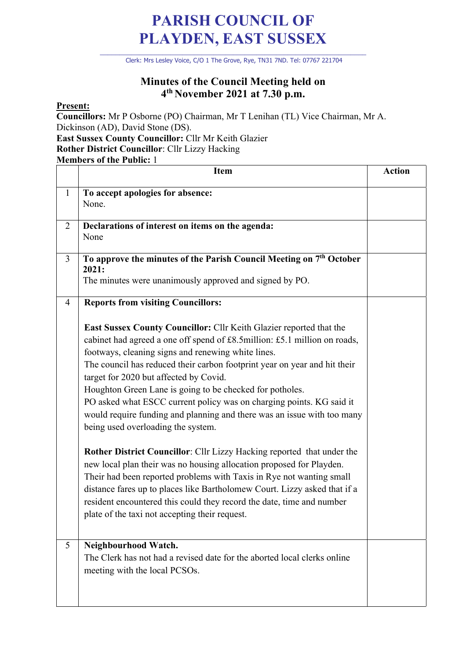## **PARISH COUNCIL OF PLAYDEN, EAST SUSSEX**

\_\_\_\_\_\_\_\_\_\_\_\_\_\_\_\_\_\_\_\_\_\_\_\_\_\_\_\_\_\_\_\_\_\_\_\_\_\_\_\_\_\_\_\_\_\_\_\_\_\_\_\_\_\_\_\_\_\_\_\_\_\_\_\_\_\_\_\_ Clerk: Mrs Lesley Voice, C/O 1 The Grove, Rye, TN31 7ND. Tel: 07767 221704

## **Minutes of the Council Meeting held on 4th November 2021 at 7.30 p.m.**

## **Present:**

**Councillors:** Mr P Osborne (PO) Chairman, Mr T Lenihan (TL) Vice Chairman, Mr A. Dickinson (AD), David Stone (DS). **East Sussex County Councillor:** Cllr Mr Keith Glazier

**Rother District Councillor**: Cllr Lizzy Hacking

**Members of the Public:** 1

|                | <b>Item</b>                                                                                                                                                                                                                                                                                                                                                                                                                                                                                                                                                                                                                                                                                                                                                                                                                                                                                                                                                                                                                                                       | <b>Action</b> |
|----------------|-------------------------------------------------------------------------------------------------------------------------------------------------------------------------------------------------------------------------------------------------------------------------------------------------------------------------------------------------------------------------------------------------------------------------------------------------------------------------------------------------------------------------------------------------------------------------------------------------------------------------------------------------------------------------------------------------------------------------------------------------------------------------------------------------------------------------------------------------------------------------------------------------------------------------------------------------------------------------------------------------------------------------------------------------------------------|---------------|
| $\mathbf{1}$   | To accept apologies for absence:<br>None.                                                                                                                                                                                                                                                                                                                                                                                                                                                                                                                                                                                                                                                                                                                                                                                                                                                                                                                                                                                                                         |               |
| $\overline{2}$ | Declarations of interest on items on the agenda:<br>None                                                                                                                                                                                                                                                                                                                                                                                                                                                                                                                                                                                                                                                                                                                                                                                                                                                                                                                                                                                                          |               |
| 3              | To approve the minutes of the Parish Council Meeting on 7 <sup>th</sup> October<br>2021:<br>The minutes were unanimously approved and signed by PO.                                                                                                                                                                                                                                                                                                                                                                                                                                                                                                                                                                                                                                                                                                                                                                                                                                                                                                               |               |
| $\overline{4}$ | <b>Reports from visiting Councillors:</b><br>East Sussex County Councillor: Cllr Keith Glazier reported that the<br>cabinet had agreed a one off spend of £8.5million: £5.1 million on roads,<br>footways, cleaning signs and renewing white lines.<br>The council has reduced their carbon footprint year on year and hit their<br>target for 2020 but affected by Covid.<br>Houghton Green Lane is going to be checked for potholes.<br>PO asked what ESCC current policy was on charging points. KG said it<br>would require funding and planning and there was an issue with too many<br>being used overloading the system.<br>Rother District Councillor: Cllr Lizzy Hacking reported that under the<br>new local plan their was no housing allocation proposed for Playden.<br>Their had been reported problems with Taxis in Rye not wanting small<br>distance fares up to places like Bartholomew Court. Lizzy asked that if a<br>resident encountered this could they record the date, time and number<br>plate of the taxi not accepting their request. |               |
| 5              | Neighbourhood Watch.<br>The Clerk has not had a revised date for the aborted local clerks online<br>meeting with the local PCSOs.                                                                                                                                                                                                                                                                                                                                                                                                                                                                                                                                                                                                                                                                                                                                                                                                                                                                                                                                 |               |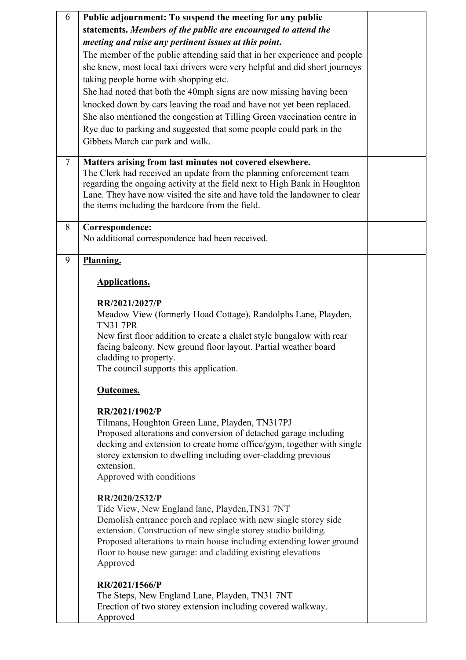| 6              | Public adjournment: To suspend the meeting for any public                                                                                                                                                                                                                                                                                                                                                                                                                                                                               |  |
|----------------|-----------------------------------------------------------------------------------------------------------------------------------------------------------------------------------------------------------------------------------------------------------------------------------------------------------------------------------------------------------------------------------------------------------------------------------------------------------------------------------------------------------------------------------------|--|
|                | statements. Members of the public are encouraged to attend the                                                                                                                                                                                                                                                                                                                                                                                                                                                                          |  |
|                | meeting and raise any pertinent issues at this point.                                                                                                                                                                                                                                                                                                                                                                                                                                                                                   |  |
|                | The member of the public attending said that in her experience and people<br>she knew, most local taxi drivers were very helpful and did short journeys<br>taking people home with shopping etc.<br>She had noted that both the 40mph signs are now missing having been<br>knocked down by cars leaving the road and have not yet been replaced.<br>She also mentioned the congestion at Tilling Green vaccination centre in<br>Rye due to parking and suggested that some people could park in the<br>Gibbets March car park and walk. |  |
|                |                                                                                                                                                                                                                                                                                                                                                                                                                                                                                                                                         |  |
| $\overline{7}$ | Matters arising from last minutes not covered elsewhere.<br>The Clerk had received an update from the planning enforcement team<br>regarding the ongoing activity at the field next to High Bank in Houghton<br>Lane. They have now visited the site and have told the landowner to clear<br>the items including the hardcore from the field.                                                                                                                                                                                           |  |
| 8              | Correspondence:                                                                                                                                                                                                                                                                                                                                                                                                                                                                                                                         |  |
|                | No additional correspondence had been received.                                                                                                                                                                                                                                                                                                                                                                                                                                                                                         |  |
| 9              | Planning.                                                                                                                                                                                                                                                                                                                                                                                                                                                                                                                               |  |
|                | <b>Applications.</b>                                                                                                                                                                                                                                                                                                                                                                                                                                                                                                                    |  |
|                |                                                                                                                                                                                                                                                                                                                                                                                                                                                                                                                                         |  |
|                | RR/2021/2027/P<br>Meadow View (formerly Hoad Cottage), Randolphs Lane, Playden,<br><b>TN31 7PR</b><br>New first floor addition to create a chalet style bungalow with rear<br>facing balcony. New ground floor layout. Partial weather board<br>cladding to property.<br>The council supports this application.                                                                                                                                                                                                                         |  |
|                | Outcomes.                                                                                                                                                                                                                                                                                                                                                                                                                                                                                                                               |  |
|                | RR/2021/1902/P<br>Tilmans, Houghton Green Lane, Playden, TN317PJ<br>Proposed alterations and conversion of detached garage including<br>decking and extension to create home office/gym, together with single<br>storey extension to dwelling including over-cladding previous<br>extension.<br>Approved with conditions                                                                                                                                                                                                                |  |
|                | RR/2020/2532/P<br>Tide View, New England lane, Playden, TN31 7NT<br>Demolish entrance porch and replace with new single storey side<br>extension. Construction of new single storey studio building.<br>Proposed alterations to main house including extending lower ground<br>floor to house new garage: and cladding existing elevations<br>Approved                                                                                                                                                                                  |  |
|                | RR/2021/1566/P<br>The Steps, New England Lane, Playden, TN31 7NT<br>Erection of two storey extension including covered walkway.<br>Approved                                                                                                                                                                                                                                                                                                                                                                                             |  |